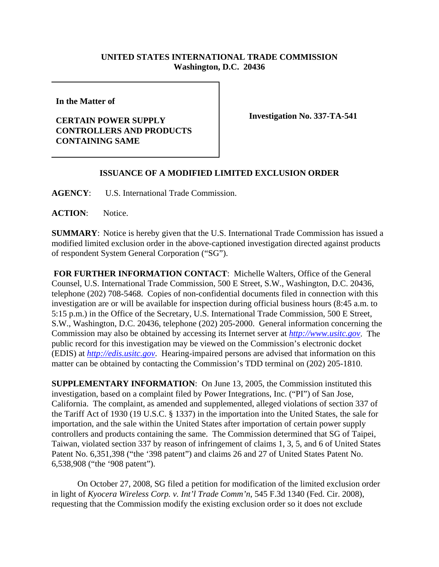## **UNITED STATES INTERNATIONAL TRADE COMMISSION Washington, D.C. 20436**

**In the Matter of** 

## **CERTAIN POWER SUPPLY CONTROLLERS AND PRODUCTS CONTAINING SAME**

**Investigation No. 337-TA-541**

## **ISSUANCE OF A MODIFIED LIMITED EXCLUSION ORDER**

**AGENCY**: U.S. International Trade Commission.

**ACTION**: Notice.

**SUMMARY**: Notice is hereby given that the U.S. International Trade Commission has issued a modified limited exclusion order in the above-captioned investigation directed against products of respondent System General Corporation ("SG").

**FOR FURTHER INFORMATION CONTACT**: Michelle Walters, Office of the General Counsel, U.S. International Trade Commission, 500 E Street, S.W., Washington, D.C. 20436, telephone (202) 708-5468. Copies of non-confidential documents filed in connection with this investigation are or will be available for inspection during official business hours (8:45 a.m. to 5:15 p.m.) in the Office of the Secretary, U.S. International Trade Commission, 500 E Street, S.W., Washington, D.C. 20436, telephone (202) 205-2000. General information concerning the Commission may also be obtained by accessing its Internet server at *http://www.usitc.gov*. The public record for this investigation may be viewed on the Commission's electronic docket (EDIS) at *http://edis.usitc.gov*. Hearing-impaired persons are advised that information on this matter can be obtained by contacting the Commission's TDD terminal on (202) 205-1810.

**SUPPLEMENTARY INFORMATION**: On June 13, 2005, the Commission instituted this investigation, based on a complaint filed by Power Integrations, Inc. ("PI") of San Jose, California. The complaint, as amended and supplemented, alleged violations of section 337 of the Tariff Act of 1930 (19 U.S.C. § 1337) in the importation into the United States, the sale for importation, and the sale within the United States after importation of certain power supply controllers and products containing the same. The Commission determined that SG of Taipei, Taiwan, violated section 337 by reason of infringement of claims 1, 3, 5, and 6 of United States Patent No. 6,351,398 ("the '398 patent") and claims 26 and 27 of United States Patent No. 6,538,908 ("the '908 patent").

On October 27, 2008, SG filed a petition for modification of the limited exclusion order in light of *Kyocera Wireless Corp. v. Int'l Trade Comm'n*, 545 F.3d 1340 (Fed. Cir. 2008), requesting that the Commission modify the existing exclusion order so it does not exclude